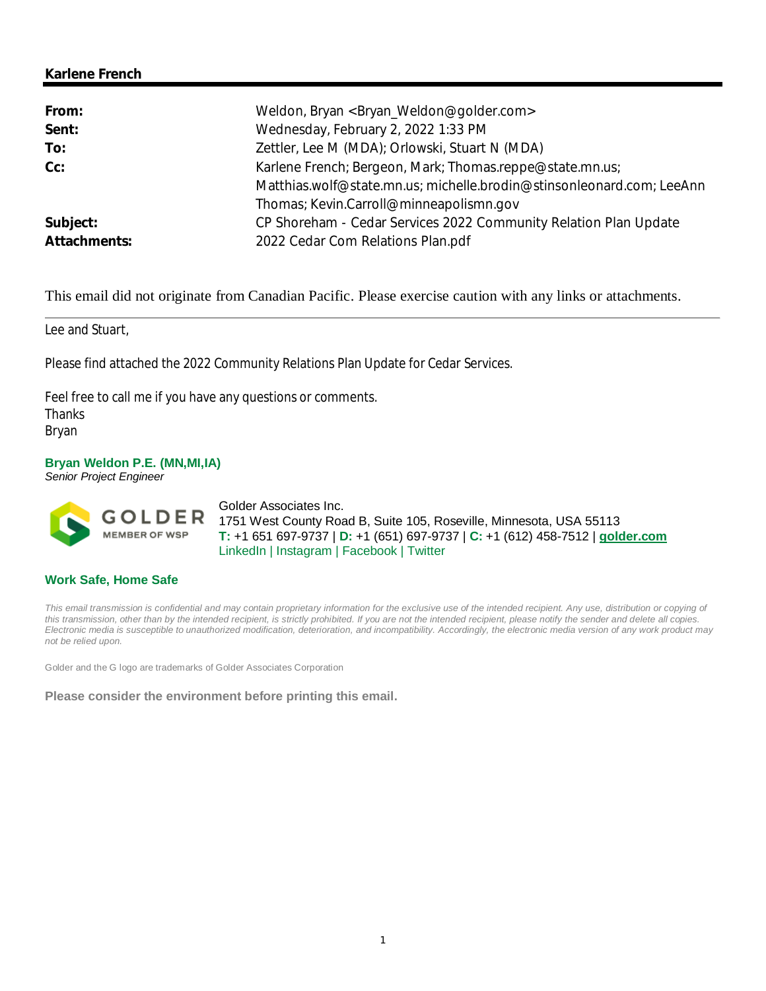## **Karlene French**

| From:        | Weldon, Bryan <bryan_weldon@golder.com></bryan_weldon@golder.com>     |
|--------------|-----------------------------------------------------------------------|
| Sent:        | Wednesday, February 2, 2022 1:33 PM                                   |
| To:          | Zettler, Lee M (MDA); Orlowski, Stuart N (MDA)                        |
| $Cc$ :       | Karlene French; Bergeon, Mark; Thomas.reppe@state.mn.us;              |
|              | Matthias.wolf@state.mn.us; michelle.brodin@stinsonleonard.com; LeeAnn |
|              | Thomas; Kevin.Carroll@minneapolismn.gov                               |
| Subject:     | CP Shoreham - Cedar Services 2022 Community Relation Plan Update      |
| Attachments: | 2022 Cedar Com Relations Plan.pdf                                     |

This email did not originate from Canadian Pacific. Please exercise caution with any links or attachments.

Lee and Stuart,

Please find attached the 2022 Community Relations Plan Update for Cedar Services.

Feel free to call me if you have any questions or comments. Thanks Bryan

### **Bryan Weldon P.E. (MN,MI,IA)**

*Senior Project Engineer*



Golder Associates Inc. 1751 West County Road B, Suite 105, Roseville, Minnesota, USA 55113 **T:** +1 651 697-9737 | **D:** +1 (651) 697-9737 | **C:** +1 (612) 458-7512 | **golder.com** LinkedIn | Instagram | Facebook | Twitter

### **Work Safe, Home Safe**

*This email transmission is confidential and may contain proprietary information for the exclusive use of the intended recipient. Any use, distribution or copying of this transmission, other than by the intended recipient, is strictly prohibited. If you are not the intended recipient, please notify the sender and delete all copies. Electronic media is susceptible to unauthorized modification, deterioration, and incompatibility. Accordingly, the electronic media version of any work product may not be relied upon.*

Golder and the G logo are trademarks of Golder Associates Corporation

**Please consider the environment before printing this email.**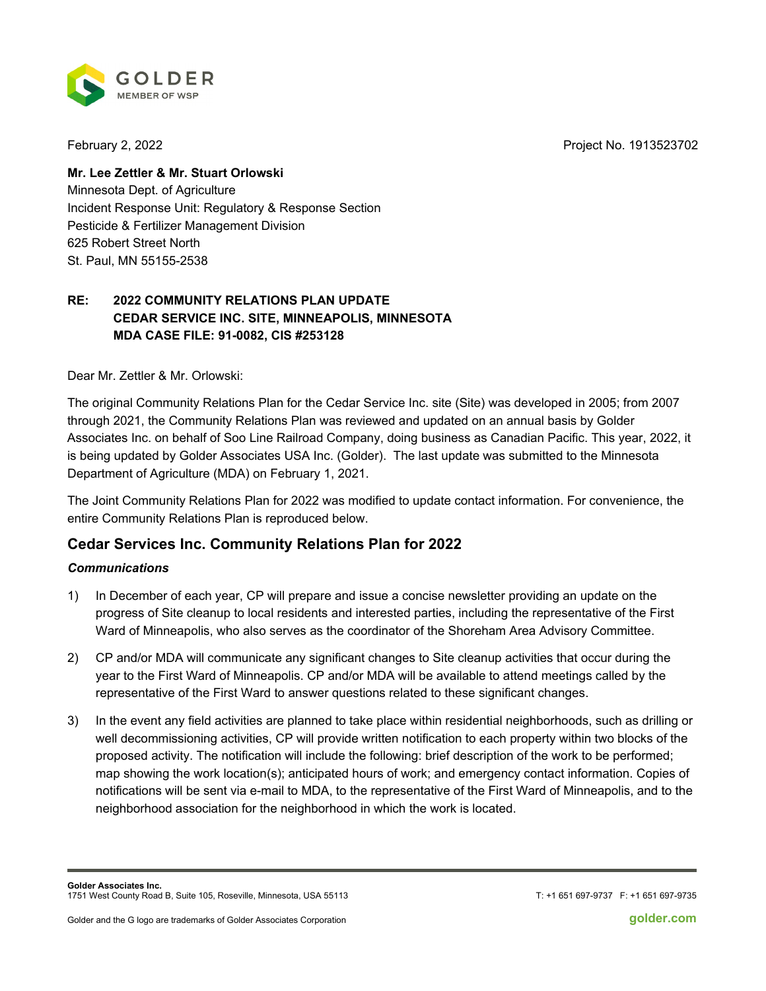

February 2, 2022 Project No. 1913523702

**Mr. Lee Zettler & Mr. Stuart Orlowski** Minnesota Dept. of Agriculture Incident Response Unit: Regulatory & Response Section Pesticide & Fertilizer Management Division 625 Robert Street North St. Paul, MN 55155-2538

## **RE: 2022 COMMUNITY RELATIONS PLAN UPDATE CEDAR SERVICE INC. SITE, MINNEAPOLIS, MINNESOTA MDA CASE FILE: 91-0082, CIS #253128**

Dear Mr. Zettler & Mr. Orlowski:

The original Community Relations Plan for the Cedar Service Inc. site (Site) was developed in 2005; from 2007 through 2021, the Community Relations Plan was reviewed and updated on an annual basis by Golder Associates Inc. on behalf of Soo Line Railroad Company, doing business as Canadian Pacific. This year, 2022, it is being updated by Golder Associates USA Inc. (Golder). The last update was submitted to the Minnesota Department of Agriculture (MDA) on February 1, 2021.

The Joint Community Relations Plan for 2022 was modified to update contact information. For convenience, the entire Community Relations Plan is reproduced below.

# **Cedar Services Inc. Community Relations Plan for 2022**

## *Communications*

- 1) In December of each year, CP will prepare and issue a concise newsletter providing an update on the progress of Site cleanup to local residents and interested parties, including the representative of the First Ward of Minneapolis, who also serves as the coordinator of the Shoreham Area Advisory Committee.
- 2) CP and/or MDA will communicate any significant changes to Site cleanup activities that occur during the year to the First Ward of Minneapolis. CP and/or MDA will be available to attend meetings called by the representative of the First Ward to answer questions related to these significant changes.
- 3) In the event any field activities are planned to take place within residential neighborhoods, such as drilling or well decommissioning activities, CP will provide written notification to each property within two blocks of the proposed activity. The notification will include the following: brief description of the work to be performed; map showing the work location(s); anticipated hours of work; and emergency contact information. Copies of notifications will be sent via e-mail to MDA, to the representative of the First Ward of Minneapolis, and to the neighborhood association for the neighborhood in which the work is located.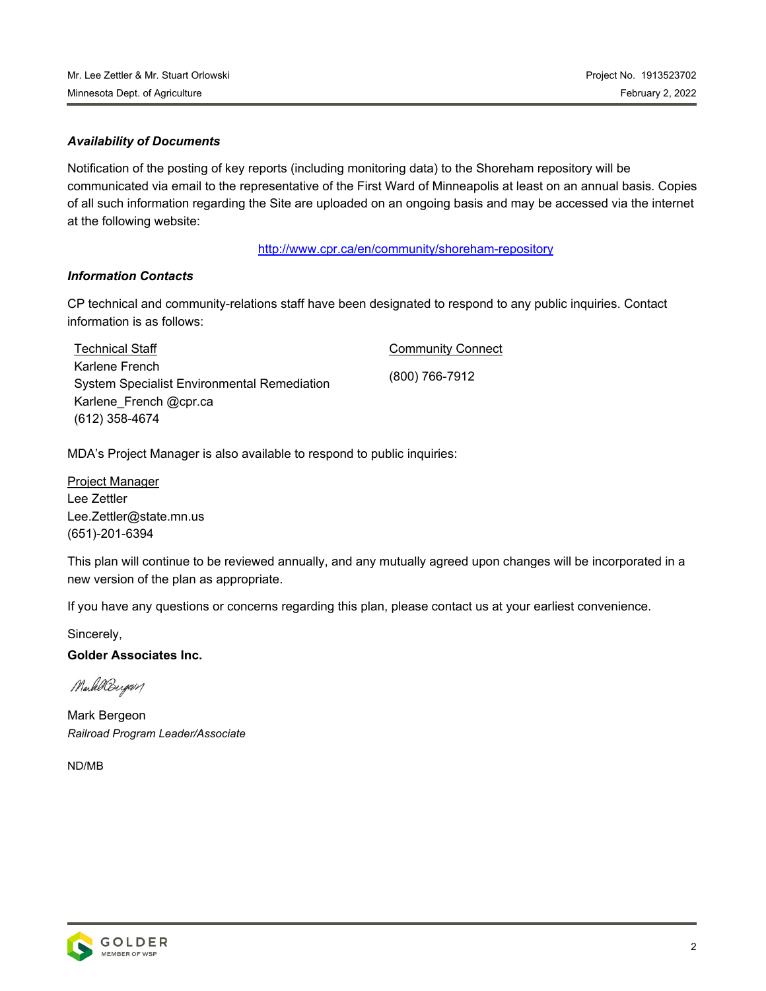## *Availability of Documents*

Notification of the posting of key reports (including monitoring data) to the Shoreham repository will be communicated via email to the representative of the First Ward of Minneapolis at least on an annual basis. Copies of all such information regarding the Site are uploaded on an ongoing basis and may be accessed via the internet at the following website:

<http://www.cpr.ca/en/community/shoreham-repository>

### *Information Contacts*

CP technical and community-relations staff have been designated to respond to any public inquiries. Contact information is as follows:

Technical Staff Karlene French System Specialist Environmental Remediation Karlene\_French @cpr.ca (612) 358-4674 Community Connect (800) 766-7912

MDA's Project Manager is also available to respond to public inquiries:

Project Manager Lee Zettler Lee.Zettler@state.mn.us (651)-201-6394

This plan will continue to be reviewed annually, and any mutually agreed upon changes will be incorporated in a new version of the plan as appropriate.

If you have any questions or concerns regarding this plan, please contact us at your earliest convenience.

Sincerely,

**Golder Associates Inc.**

Marke Berger

Mark Bergeon *Railroad Program Leader/Associate*

ND/MB